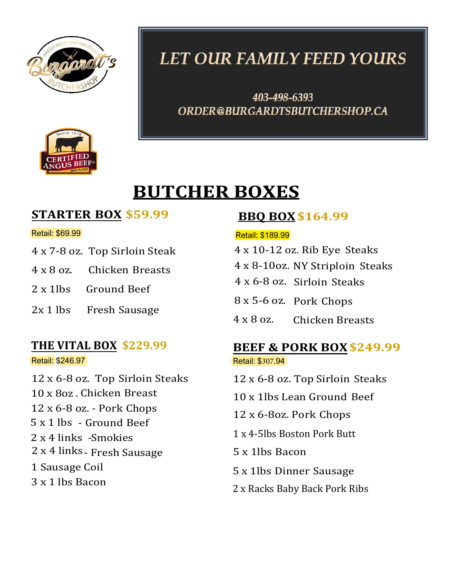



# **LET OUR FAMILY FEED YOURS**

403-498-6393 ORDER@BURGARDTSBUTCHERSHOP.CA

# **BUTCHER BOXES**

### **STARTER BOX \$59.99**

### Retail: \$69.99

- 4 x 7-8 oz. Top Sirloin Steak
- 4 x 8 oz. Chicken Breasts
- 2 x 1lbs Ground Beef
- 2x 1 lbs Fresh Sausage

### **THE VITAL BOX \$229.99**

Retail: \$246.97

12 x 6-8 oz. Top Sirloin Steaks 10 x 80z. Chicken Breast 12 x 6-8 oz. - Pork Chops 5 x 1 lbs - Ground Beef 2 x 4 links -Smokies 2 x 4 links- Fresh Sausage 1 Sausage Coil 3 x 1 lbs Bacon

### **BBQ BOX\$164.99**

### Retail: \$189.99

- 4 x 10-12 oz. Rib Eye Steaks
- 4 x 8-10oz. NY Striploin Steaks
- 4 x 6-8 oz. Sirloin Steaks
- 8 x 5-6 oz. Pork Chops
- 4 x 8 oz. Chicken Breasts

## **BEEF & PORK BOX\$249.99**

Retail: \$307.94

- 12 x 6-8 oz. Top Sirloin Steaks
- 10 x 1lbs Lean Ground Beef
- 12 x 6-8oz. Pork Chops
- 1 x 4-5lbs Boston Pork Butt
- 5 x 1lbs Bacon
- 5 x 1lbs Dinner Sausage
- 2 x Racks Baby Back Pork Ribs